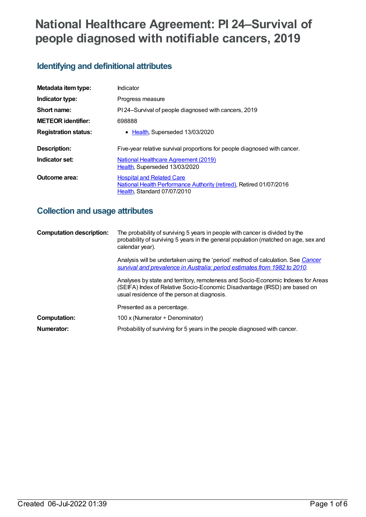# **National Healthcare Agreement: PI 24–Survival of people diagnosed with notifiable cancers, 2019**

## **Identifying and definitional attributes**

| Metadata item type:         | Indicator                                                                                                                              |
|-----------------------------|----------------------------------------------------------------------------------------------------------------------------------------|
| Indicator type:             | Progress measure                                                                                                                       |
| Short name:                 | PI 24-Survival of people diagnosed with cancers, 2019                                                                                  |
| <b>METEOR identifier:</b>   | 698888                                                                                                                                 |
| <b>Registration status:</b> | • Health, Superseded 13/03/2020                                                                                                        |
| Description:                | Five-year relative survival proportions for people diagnosed with cancer.                                                              |
| Indicator set:              | National Healthcare Agreement (2019)<br>Health, Superseded 13/03/2020                                                                  |
| Outcome area:               | <b>Hospital and Related Care</b><br>National Health Performance Authority (retired), Retired 01/07/2016<br>Health, Standard 07/07/2010 |

## **Collection and usage attributes**

| <b>Computation description:</b> | The probability of surviving 5 years in people with cancer is divided by the<br>probability of surviving 5 years in the general population (matched on age, sex and<br>calendar year).                       |
|---------------------------------|--------------------------------------------------------------------------------------------------------------------------------------------------------------------------------------------------------------|
|                                 | Analysis will be undertaken using the 'period' method of calculation. See Cancer<br>survival and prevalence in Australia: period estimates from 1982 to 2010.                                                |
|                                 | Analyses by state and territory, remoteness and Socio-Economic Indexes for Areas<br>(SEIFA) Index of Relative Socio-Economic Disadvantage (IRSD) are based on<br>usual residence of the person at diagnosis. |
|                                 | Presented as a percentage.                                                                                                                                                                                   |
| Computation:                    | 100 x (Numerator $\div$ Denominator)                                                                                                                                                                         |
| Numerator:                      | Probability of surviving for 5 years in the people diagnosed with cancer.                                                                                                                                    |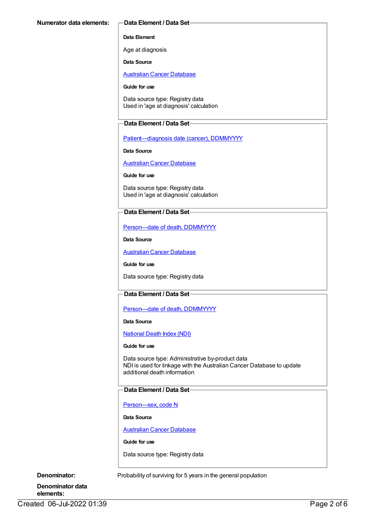#### **Data Element**

Age at diagnosis

**Data Source**

[Australian](https://meteor.aihw.gov.au/content/393621) Cancer Database

#### **Guide for use**

Data source type: Registry data Used in 'age at diagnosis' calculation

#### **Data Element / Data Set**

[Patient—diagnosis](https://meteor.aihw.gov.au/content/270061) date (cancer), DDMMYYYY

**Data Source**

[Australian](https://meteor.aihw.gov.au/content/393621) Cancer Database

**Guide for use**

Data source type: Registry data Used in 'age at diagnosis' calculation

#### **Data Element / Data Set**

[Person—date](https://meteor.aihw.gov.au/content/287305) of death, DDMMYYYY

**Data Source**

[Australian](https://meteor.aihw.gov.au/content/393621) Cancer Database

**Guide for use**

Data source type: Registry data

### **Data Element / Data Set**

Person-date of death, DDMMYYYY

**Data Source**

[National](https://meteor.aihw.gov.au/content/395083) Death Index (NDI)

#### **Guide for use**

Data source type: Administrative by-product data NDI is used for linkage with the Australian Cancer Database to update additional death information

#### **Data Element / Data Set**

[Person—sex,](https://meteor.aihw.gov.au/content/287316) code N

**Data Source**

[Australian](https://meteor.aihw.gov.au/content/393621) Cancer Database

**Guide for use**

Data source type: Registry data

**Denominator:** Probability of surviving for 5 years in the general population

**Denominator data elements:**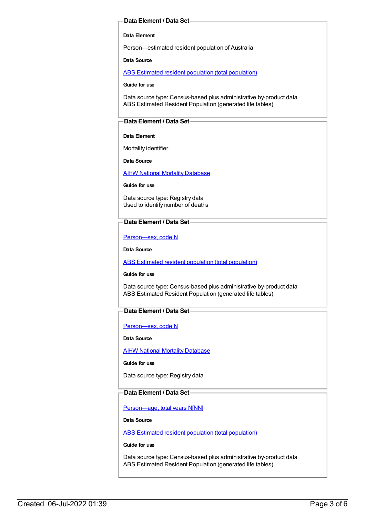#### **Data Element / Data Set**

#### **Data Element**

Person—estimated resident population of Australia

**Data Source**

ABS Estimated resident population (total [population\)](https://meteor.aihw.gov.au/content/393625)

**Guide for use**

Data source type: Census-based plus administrative by-product data ABS Estimated Resident Population (generated life tables)

#### **Data Element / Data Set**

#### **Data Element**

Mortality identifier

**Data Source**

**AIHW National Mortality [Database](https://meteor.aihw.gov.au/content/395084)** 

**Guide for use**

Data source type: Registry data Used to identify number of deaths

#### **Data Element / Data Set**

[Person—sex,](https://meteor.aihw.gov.au/content/287316) code N

**Data Source**

ABS Estimated resident population (total [population\)](https://meteor.aihw.gov.au/content/393625)

**Guide for use**

Data source type: Census-based plus administrative by-product data ABS Estimated Resident Population (generated life tables)

#### **Data Element / Data Set**

[Person—sex,](https://meteor.aihw.gov.au/content/287316) code N

**Data Source**

AIHW National Mortality [Database](https://meteor.aihw.gov.au/content/395084)

**Guide for use**

Data source type: Registry data

#### **Data Element / Data Set**

[Person—age,](https://meteor.aihw.gov.au/content/303794) total years N[NN]

**Data Source**

ABS Estimated resident population (total [population\)](https://meteor.aihw.gov.au/content/393625)

**Guide for use**

Data source type: Census-based plus administrative by-product data ABS Estimated Resident Population (generated life tables)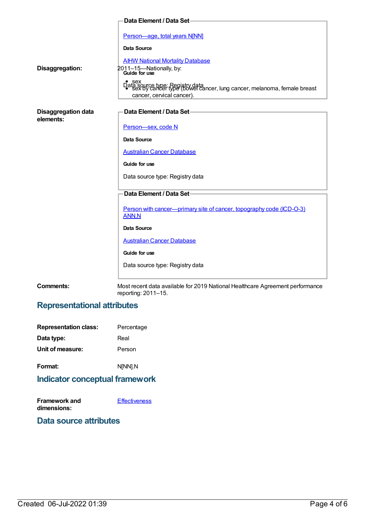|                                         | Data Element / Data Set-                                                                                                 |
|-----------------------------------------|--------------------------------------------------------------------------------------------------------------------------|
|                                         | Person-age, total years N[NN]                                                                                            |
|                                         | Data Source                                                                                                              |
|                                         | <b>AIHW National Mortality Database</b>                                                                                  |
| Disaggregation:                         | 2011-15-Nationally, by:<br>Guide for use                                                                                 |
|                                         | Data sex<br>Data source type: Registry data<br>Cancer, lung cancer, melanoma, female breast<br>cancer, cervical cancer). |
| <b>Disaggregation data</b><br>elements: | Data Element / Data Set-                                                                                                 |
|                                         | Person-sex, code N                                                                                                       |
|                                         | <b>Data Source</b>                                                                                                       |
|                                         | <b>Australian Cancer Database</b>                                                                                        |
|                                         | Guide for use                                                                                                            |
|                                         | Data source type: Registry data                                                                                          |
|                                         | Data Element / Data Set-                                                                                                 |
|                                         | Person with cancer—primary site of cancer, topography code (ICD-O-3)<br><b>ANN.N</b>                                     |
|                                         | <b>Data Source</b>                                                                                                       |
|                                         | <b>Australian Cancer Database</b>                                                                                        |
|                                         | Guide for use                                                                                                            |
|                                         | Data source type: Registry data                                                                                          |
| <b>Comments:</b>                        | Most recent data available for 2019 National Healthcare Agreement performance<br>reporting: 2011-15.                     |

## **Representational attributes**

| <b>Representation class:</b> | Percentage |
|------------------------------|------------|
| Data type:                   | Real       |
| Unit of measure:             | Person     |
| Format:                      | N[NN].N    |

## **Indicator conceptual framework**

| <b>Framework and</b> | <b>Effectiveness</b> |
|----------------------|----------------------|
| dimensions:          |                      |

## **Data source attributes**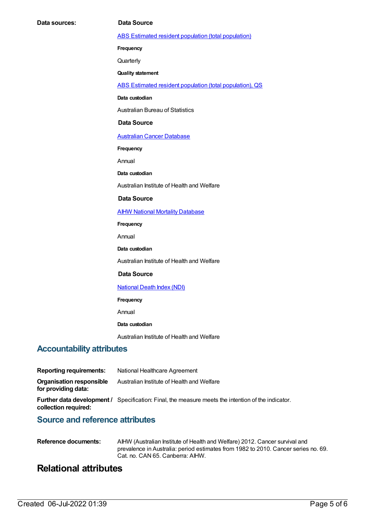ABS Estimated resident population (total [population\)](https://meteor.aihw.gov.au/content/393625)

**Frequency**

**Quarterly** 

**Quality statement**

ABS Estimated resident population (total [population\),](https://meteor.aihw.gov.au/content/449216) QS

**Data custodian**

Australian Bureau of Statistics

#### **Data Source**

[Australian](https://meteor.aihw.gov.au/content/393621) Cancer Database

**Frequency**

Annual

**Data custodian**

Australian Institute of Health and Welfare

#### **Data Source**

**AIHW National Mortality [Database](https://meteor.aihw.gov.au/content/395084)** 

**Frequency**

Annual

**Data custodian**

Australian Institute of Health and Welfare

#### **Data Source**

#### [National](https://meteor.aihw.gov.au/content/395083) Death Index (NDI)

**Frequency**

Annual

#### **Data custodian**

Australian Institute of Health and Welfare

### **Accountability attributes**

| <b>Reporting requirements:</b>                  | National Healthcare Agreement                                                                             |
|-------------------------------------------------|-----------------------------------------------------------------------------------------------------------|
| Organisation responsible<br>for providing data: | Australian Institute of Health and Welfare                                                                |
| collection required:                            | <b>Further data development</b> / Specification: Final, the measure meets the intention of the indicator. |
|                                                 |                                                                                                           |

## **Source and reference attributes**

| Reference documents: | AIHW (Australian Institute of Health and Welfare) 2012. Cancer survival and        |
|----------------------|------------------------------------------------------------------------------------|
|                      | prevalence in Australia: period estimates from 1982 to 2010. Cancer series no. 69. |
|                      | Cat. no. CAN 65. Canberra: AIHW.                                                   |

## **Relational attributes**